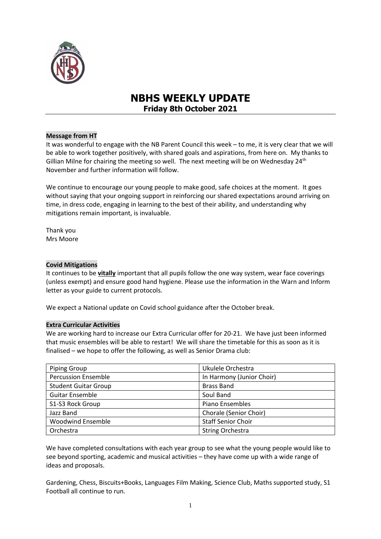

# **NBHS WEEKLY UPDATE Friday 8th October 2021**

# **Message from HT**

It was wonderful to engage with the NB Parent Council this week – to me, it is very clear that we will be able to work together positively, with shared goals and aspirations, from here on. My thanks to Gillian Milne for chairing the meeting so well. The next meeting will be on Wednesday  $24<sup>th</sup>$ November and further information will follow.

We continue to encourage our young people to make good, safe choices at the moment. It goes without saying that your ongoing support in reinforcing our shared expectations around arriving on time, in dress code, engaging in learning to the best of their ability, and understanding why mitigations remain important, is invaluable.

Thank you Mrs Moore

# **Covid Mitigations**

It continues to be **vitally** important that all pupils follow the one way system, wear face coverings (unless exempt) and ensure good hand hygiene. Please use the information in the Warn and Inform letter as your guide to current protocols.

We expect a National update on Covid school guidance after the October break.

# **Extra Curricular Activities**

We are working hard to increase our Extra Curricular offer for 20-21. We have just been informed that music ensembles will be able to restart! We will share the timetable for this as soon as it is finalised – we hope to offer the following, as well as Senior Drama club:

| <b>Piping Group</b>         | Ukulele Orchestra         |
|-----------------------------|---------------------------|
| <b>Percussion Ensemble</b>  | In Harmony (Junior Choir) |
| <b>Student Guitar Group</b> | <b>Brass Band</b>         |
| <b>Guitar Ensemble</b>      | Soul Band                 |
| S1-S3 Rock Group            | Piano Ensembles           |
| Jazz Band                   | Chorale (Senior Choir)    |
| <b>Woodwind Ensemble</b>    | <b>Staff Senior Choir</b> |
| Orchestra                   | <b>String Orchestra</b>   |

We have completed consultations with each year group to see what the young people would like to see beyond sporting, academic and musical activities – they have come up with a wide range of ideas and proposals.

Gardening, Chess, Biscuits+Books, Languages Film Making, Science Club, Maths supported study, S1 Football all continue to run.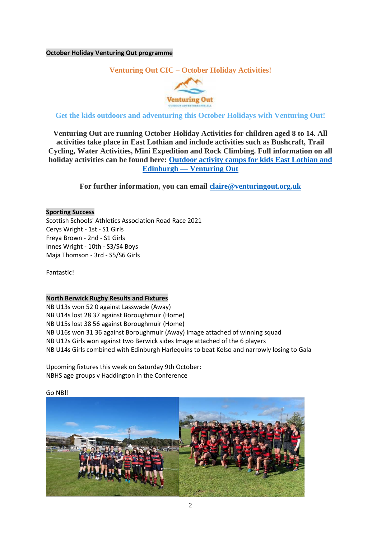# **October Holiday Venturing Out programme**

# **Venturing Out CIC – October Holiday Activities!**



# **Get the kids outdoors and adventuring this October Holidays with Venturing Out!**

**Venturing Out are running October Holiday Activities for children aged 8 to 14. All activities take place in East Lothian and include activities such as Bushcraft, Trail Cycling, Water Activities, Mini Expedition and Rock Climbing. Full information on all holiday activities can be found here: [Outdoor activity camps for kids East Lothian and](https://www.venturingout.org.uk/school-holidays)  Edinburgh — [Venturing Out](https://www.venturingout.org.uk/school-holidays)**

**For further information, you can email [claire@venturingout.org.uk](mailto:claire@venturingout.org.uk)**

#### **Sporting Success**

Scottish Schools' Athletics Association Road Race 2021 Cerys Wright - 1st - S1 Girls Freya Brown - 2nd - S1 Girls Innes Wright - 10th - S3/S4 Boys Maja Thomson - 3rd - S5/S6 Girls

Fantastic!

#### **North Berwick Rugby Results and Fixtures**

NB U13s won 52 0 against Lasswade (Away) NB U14s lost 28 37 against Boroughmuir (Home) NB U15s lost 38 56 against Boroughmuir (Home) NB U16s won 31 36 against Boroughmuir (Away) Image attached of winning squad NB U12s Girls won against two Berwick sides Image attached of the 6 players NB U14s Girls combined with Edinburgh Harlequins to beat Kelso and narrowly losing to Gala

Upcoming fixtures this week on Saturday 9th October: NBHS age groups v Haddington in the Conference

Go NB!!

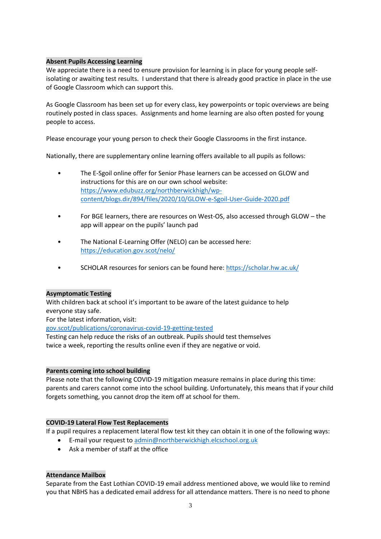# **Absent Pupils Accessing Learning**

We appreciate there is a need to ensure provision for learning is in place for young people selfisolating or awaiting test results. I understand that there is already good practice in place in the use of Google Classroom which can support this.

As Google Classroom has been set up for every class, key powerpoints or topic overviews are being routinely posted in class spaces. Assignments and home learning are also often posted for young people to access.

Please encourage your young person to check their Google Classrooms in the first instance.

Nationally, there are supplementary online learning offers available to all pupils as follows:

- The E-Sgoil online offer for Senior Phase learners can be accessed on GLOW and instructions for this are on our own school website: [https://www.edubuzz.org/northberwickhigh/wp](https://www.edubuzz.org/northberwickhigh/wp-content/blogs.dir/894/files/2020/10/GLOW-e-Sgoil-User-Guide-2020.pdf)[content/blogs.dir/894/files/2020/10/GLOW-e-Sgoil-User-Guide-2020.pdf](https://www.edubuzz.org/northberwickhigh/wp-content/blogs.dir/894/files/2020/10/GLOW-e-Sgoil-User-Guide-2020.pdf)
- For BGE learners, there are resources on West-OS, also accessed through GLOW the app will appear on the pupils' launch pad
- The National E-Learning Offer (NELO) can be accessed here: <https://education.gov.scot/nelo/>
- SCHOLAR resources for seniors can be found here:<https://scholar.hw.ac.uk/>

# **Asymptomatic Testing**

With children back at school it's important to be aware of the latest guidance to help everyone stay safe.

For the latest information, visit:

[gov.scot/publications/coronavirus-covid-19-getting-tested](file://///nb-server1/subjects/Admin/Diane/Weekly%20update/September%202021/gov.scot/publications/coronavirus-covid-19-getting-tested)

Testing can help reduce the risks of an outbreak. Pupils should test themselves twice a week, reporting the results online even if they are negative or void.

# **Parents coming into school building**

Please note that the following COVID-19 mitigation measure remains in place during this time: parents and carers cannot come into the school building. Unfortunately, this means that if your child forgets something, you cannot drop the item off at school for them.

# **COVID-19 Lateral Flow Test Replacements**

If a pupil requires a replacement lateral flow test kit they can obtain it in one of the following ways:

- E-mail your request to [admin@northberwickhigh.elcschool.org.uk](mailto:admin@northberwickhigh.elcschool.org.uk)
- Ask a member of staff at the office

# **Attendance Mailbox**

Separate from the East Lothian COVID-19 email address mentioned above, we would like to remind you that NBHS has a dedicated email address for all attendance matters. There is no need to phone